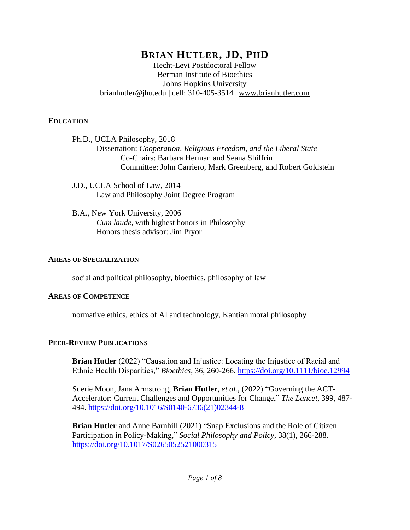# **BRIAN HUTLER, JD, PHD**

Hecht-Levi Postdoctoral Fellow Berman Institute of Bioethics Johns Hopkins University brianhutler@jhu.edu | cell: 310-405-3514 | [www.brianhutler.com](https://www.brianhutler.com/)

#### **EDUCATION**

- Ph.D., UCLA Philosophy, 2018 Dissertation: *Cooperation, Religious Freedom, and the Liberal State* Co-Chairs: Barbara Herman and Seana Shiffrin Committee: John Carriero, Mark Greenberg, and Robert Goldstein
- J.D., UCLA School of Law, 2014 Law and Philosophy Joint Degree Program
- B.A., New York University, 2006 *Cum laude*, with highest honors in Philosophy Honors thesis advisor: Jim Pryor

### **AREAS OF SPECIALIZATION**

social and political philosophy, bioethics, philosophy of law

#### **AREAS OF COMPETENCE**

normative ethics, ethics of AI and technology, Kantian moral philosophy

## **PEER-REVIEW PUBLICATIONS**

**Brian Hutler** (2022) "Causation and Injustice: Locating the Injustice of Racial and Ethnic Health Disparities," *Bioethics*, 36, 260-266.<https://doi.org/10.1111/bioe.12994>

Suerie Moon, Jana Armstrong, **Brian Hutler**, *et al.*, (2022) "Governing the ACT-Accelerator: Current Challenges and Opportunities for Change," *The Lancet*, 399, 487- 494. [https://doi.org/10.1016/S0140-6736\(21\)02344-8](https://doi.org/10.1016/S0140-6736(21)02344-8)

**Brian Hutler** and Anne Barnhill (2021) "Snap Exclusions and the Role of Citizen Participation in Policy-Making," *Social Philosophy and Policy*, 38(1), 266-288. <https://doi.org/10.1017/S0265052521000315>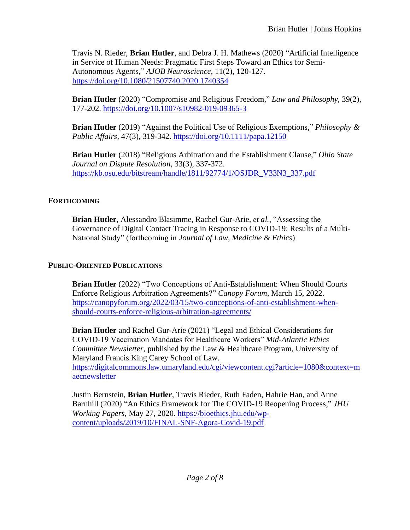Travis N. Rieder, **Brian Hutler**, and Debra J. H. Mathews (2020) "Artificial Intelligence in Service of Human Needs: Pragmatic First Steps Toward an Ethics for Semi-Autonomous Agents," *AJOB Neuroscience*, 11(2), 120-127. <https://doi.org/10.1080/21507740.2020.1740354>

**Brian Hutler** (2020) "Compromise and Religious Freedom," *Law and Philosophy*, 39(2), 177-202.<https://doi.org/10.1007/s10982-019-09365-3>

**Brian Hutler** (2019) "Against the Political Use of Religious Exemptions," *Philosophy & Public Affairs*, 47(3), 319-342.<https://doi.org/10.1111/papa.12150>

**Brian Hutler** (2018) "Religious Arbitration and the Establishment Clause," *Ohio State Journal on Dispute Resolution*, 33(3), 337-372. [https://kb.osu.edu/bitstream/handle/1811/92774/1/OSJDR\\_V33N3\\_337.pdf](https://kb.osu.edu/bitstream/handle/1811/92774/1/OSJDR_V33N3_337.pdf)

## **FORTHCOMING**

**Brian Hutler**, Alessandro Blasimme, Rachel Gur-Arie, *et al.*, "Assessing the Governance of Digital Contact Tracing in Response to COVID-19: Results of a Multi-National Study" (forthcoming in *Journal of Law, Medicine & Ethics*)

## **PUBLIC-ORIENTED PUBLICATIONS**

**Brian Hutler** (2022) "Two Conceptions of Anti-Establishment: When Should Courts Enforce Religious Arbitration Agreements?" *Canopy Forum*, March 15, 2022. [https://canopyforum.org/2022/03/15/two-conceptions-of-anti-establishment-when](https://canopyforum.org/2022/03/15/two-conceptions-of-anti-establishment-when-should-courts-enforce-religious-arbitration-agreements/)[should-courts-enforce-religious-arbitration-agreements/](https://canopyforum.org/2022/03/15/two-conceptions-of-anti-establishment-when-should-courts-enforce-religious-arbitration-agreements/)

**Brian Hutler** and Rachel Gur-Arie (2021) "Legal and Ethical Considerations for COVID-19 Vaccination Mandates for Healthcare Workers" *Mid-Atlantic Ethics Committee Newsletter*, published by the Law & Healthcare Program, University of Maryland Francis King Carey School of Law.

[https://digitalcommons.law.umaryland.edu/cgi/viewcontent.cgi?article=1080&context=m](https://digitalcommons.law.umaryland.edu/cgi/viewcontent.cgi?article=1080&context=maecnewsletter) [aecnewsletter](https://digitalcommons.law.umaryland.edu/cgi/viewcontent.cgi?article=1080&context=maecnewsletter)

Justin Bernstein, **Brian Hutler**, Travis Rieder, Ruth Faden, Hahrie Han, and Anne Barnhill (2020) "An Ethics Framework for The COVID-19 Reopening Process," *JHU Working Papers*, May 27, 2020. [https://bioethics.jhu.edu/wp](https://bioethics.jhu.edu/wp-content/uploads/2019/10/FINAL-SNF-Agora-Covid-19.pdf)[content/uploads/2019/10/FINAL-SNF-Agora-Covid-19.pdf](https://bioethics.jhu.edu/wp-content/uploads/2019/10/FINAL-SNF-Agora-Covid-19.pdf)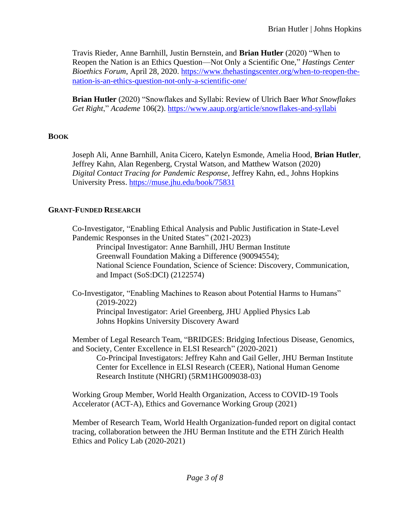Travis Rieder, Anne Barnhill, Justin Bernstein, and **Brian Hutler** (2020) "When to Reopen the Nation is an Ethics Question—Not Only a Scientific One," *Hastings Center Bioethics Forum*, April 28, 2020. [https://www.thehastingscenter.org/when-to-reopen-the](https://www.thehastingscenter.org/when-to-reopen-the-nation-is-an-ethics-question-not-only-a-scientific-one/)[nation-is-an-ethics-question-not-only-a-scientific-one/](https://www.thehastingscenter.org/when-to-reopen-the-nation-is-an-ethics-question-not-only-a-scientific-one/)

**Brian Hutler** (2020) "Snowflakes and Syllabi: Review of Ulrich Baer *What Snowflakes Get Right*," *Academe* 106(2). <https://www.aaup.org/article/snowflakes-and-syllabi>

### **BOOK**

Joseph Ali, Anne Barnhill, Anita Cicero, Katelyn Esmonde, Amelia Hood, **Brian Hutler**, Jeffrey Kahn, Alan Regenberg, Crystal Watson, and Matthew Watson (2020) *Digital Contact Tracing for Pandemic Response*, Jeffrey Kahn, ed., Johns Hopkins University Press.<https://muse.jhu.edu/book/75831>

## **GRANT-FUNDED RESEARCH**

Co-Investigator, "Enabling Ethical Analysis and Public Justification in State-Level Pandemic Responses in the United States" (2021-2023)

Principal Investigator: Anne Barnhill, JHU Berman Institute Greenwall Foundation Making a Difference (90094554); National Science Foundation, Science of Science: Discovery, Communication, and Impact (SoS:DCI) (2122574)

Co-Investigator, "Enabling Machines to Reason about Potential Harms to Humans" (2019-2022) Principal Investigator: Ariel Greenberg, JHU Applied Physics Lab Johns Hopkins University Discovery Award

Member of Legal Research Team, "BRIDGES: Bridging Infectious Disease, Genomics, and Society, Center Excellence in ELSI Research" (2020-2021) Co-Principal Investigators: Jeffrey Kahn and Gail Geller, JHU Berman Institute Center for Excellence in ELSI Research (CEER), National Human Genome Research Institute (NHGRI) (5RM1HG009038-03)

Working Group Member, World Health Organization, Access to COVID-19 Tools Accelerator (ACT-A), Ethics and Governance Working Group (2021)

Member of Research Team, World Health Organization-funded report on digital contact tracing, collaboration between the JHU Berman Institute and the ETH Zürich Health Ethics and Policy Lab (2020-2021)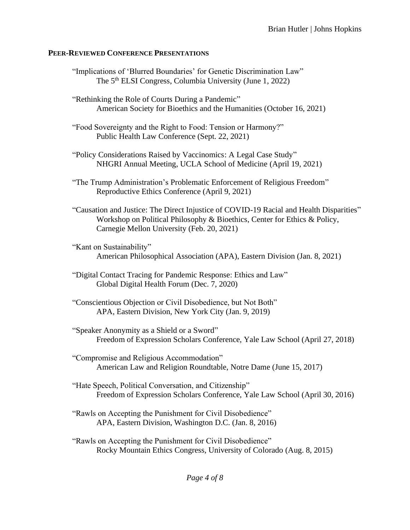#### **PEER-REVIEWED CONFERENCE PRESENTATIONS**

- "Implications of 'Blurred Boundaries' for Genetic Discrimination Law" The 5<sup>th</sup> ELSI Congress, Columbia University (June 1, 2022)
- "Rethinking the Role of Courts During a Pandemic" American Society for Bioethics and the Humanities (October 16, 2021)
- "Food Sovereignty and the Right to Food: Tension or Harmony?" Public Health Law Conference (Sept. 22, 2021)
- "Policy Considerations Raised by Vaccinomics: A Legal Case Study" NHGRI Annual Meeting, UCLA School of Medicine (April 19, 2021)
- "The Trump Administration's Problematic Enforcement of Religious Freedom" Reproductive Ethics Conference (April 9, 2021)
- "Causation and Justice: The Direct Injustice of COVID-19 Racial and Health Disparities" Workshop on Political Philosophy & Bioethics, Center for Ethics & Policy, Carnegie Mellon University (Feb. 20, 2021)
- "Kant on Sustainability" American Philosophical Association (APA), Eastern Division (Jan. 8, 2021)
- "Digital Contact Tracing for Pandemic Response: Ethics and Law" Global Digital Health Forum (Dec. 7, 2020)
- "Conscientious Objection or Civil Disobedience, but Not Both" APA, Eastern Division, New York City (Jan. 9, 2019)
- "Speaker Anonymity as a Shield or a Sword" Freedom of Expression Scholars Conference, Yale Law School (April 27, 2018)
- "Compromise and Religious Accommodation" American Law and Religion Roundtable, Notre Dame (June 15, 2017)
- "Hate Speech, Political Conversation, and Citizenship" Freedom of Expression Scholars Conference, Yale Law School (April 30, 2016)
- "Rawls on Accepting the Punishment for Civil Disobedience" APA, Eastern Division, Washington D.C. (Jan. 8, 2016)
- "Rawls on Accepting the Punishment for Civil Disobedience" Rocky Mountain Ethics Congress, University of Colorado (Aug. 8, 2015)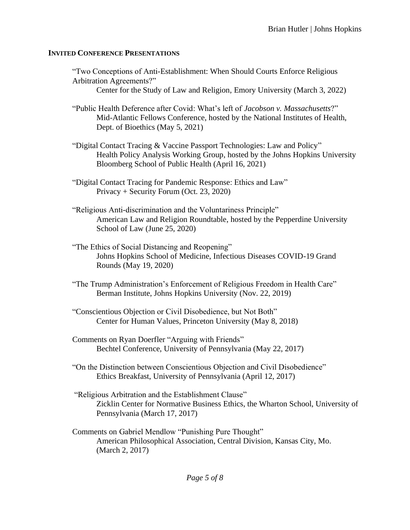#### **INVITED CONFERENCE PRESENTATIONS**

- "Two Conceptions of Anti-Establishment: When Should Courts Enforce Religious Arbitration Agreements?"
	- Center for the Study of Law and Religion, Emory University (March 3, 2022)
- "Public Health Deference after Covid: What's left of *Jacobson v. Massachusetts*?" Mid-Atlantic Fellows Conference, hosted by the National Institutes of Health, Dept. of Bioethics (May 5, 2021)
- "Digital Contact Tracing & Vaccine Passport Technologies: Law and Policy" Health Policy Analysis Working Group, hosted by the Johns Hopkins University Bloomberg School of Public Health (April 16, 2021)
- "Digital Contact Tracing for Pandemic Response: Ethics and Law" Privacy + Security Forum (Oct. 23, 2020)
- "Religious Anti-discrimination and the Voluntariness Principle" American Law and Religion Roundtable, hosted by the Pepperdine University School of Law (June 25, 2020)
- "The Ethics of Social Distancing and Reopening" Johns Hopkins School of Medicine, Infectious Diseases COVID-19 Grand Rounds (May 19, 2020)
- "The Trump Administration's Enforcement of Religious Freedom in Health Care" Berman Institute, Johns Hopkins University (Nov. 22, 2019)
- "Conscientious Objection or Civil Disobedience, but Not Both" Center for Human Values, Princeton University (May 8, 2018)
- Comments on Ryan Doerfler "Arguing with Friends" Bechtel Conference, University of Pennsylvania (May 22, 2017)
- "On the Distinction between Conscientious Objection and Civil Disobedience" Ethics Breakfast, University of Pennsylvania (April 12, 2017)
- "Religious Arbitration and the Establishment Clause" Zicklin Center for Normative Business Ethics, the Wharton School, University of Pennsylvania (March 17, 2017)
- Comments on Gabriel Mendlow "Punishing Pure Thought" American Philosophical Association, Central Division, Kansas City, Mo. (March 2, 2017)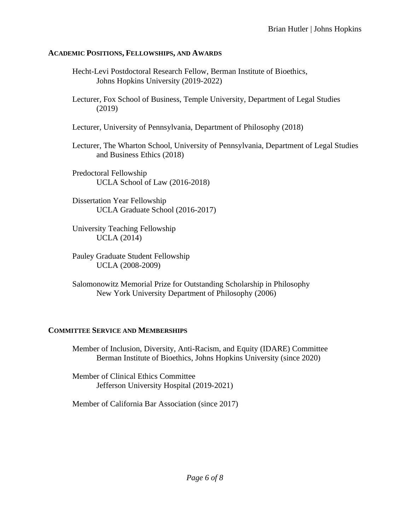#### **ACADEMIC POSITIONS, FELLOWSHIPS, AND AWARDS**

- Hecht-Levi Postdoctoral Research Fellow, Berman Institute of Bioethics, Johns Hopkins University (2019-2022)
- Lecturer, Fox School of Business, Temple University, Department of Legal Studies (2019)
- Lecturer, University of Pennsylvania, Department of Philosophy (2018)
- Lecturer, The Wharton School, University of Pennsylvania, Department of Legal Studies and Business Ethics (2018)
- Predoctoral Fellowship UCLA School of Law (2016-2018)
- Dissertation Year Fellowship UCLA Graduate School (2016-2017)
- University Teaching Fellowship UCLA (2014)
- Pauley Graduate Student Fellowship UCLA (2008-2009)
- Salomonowitz Memorial Prize for Outstanding Scholarship in Philosophy New York University Department of Philosophy (2006)

## **COMMITTEE SERVICE AND MEMBERSHIPS**

Member of Inclusion, Diversity, Anti-Racism, and Equity (IDARE) Committee Berman Institute of Bioethics, Johns Hopkins University (since 2020)

Member of Clinical Ethics Committee Jefferson University Hospital (2019-2021)

Member of California Bar Association (since 2017)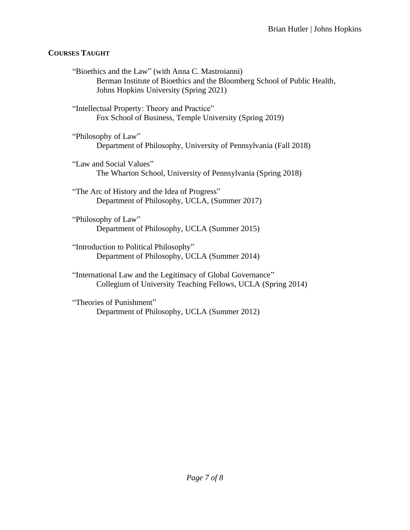# **COURSES TAUGHT**

"Bioethics and the Law" (with Anna C. Mastroianni) Berman Institute of Bioethics and the Bloomberg School of Public Health, Johns Hopkins University (Spring 2021) "Intellectual Property: Theory and Practice" Fox School of Business, Temple University (Spring 2019) "Philosophy of Law" Department of Philosophy, University of Pennsylvania (Fall 2018) "Law and Social Values" The Wharton School, University of Pennsylvania (Spring 2018) "The Arc of History and the Idea of Progress" Department of Philosophy, UCLA, (Summer 2017) "Philosophy of Law" Department of Philosophy, UCLA (Summer 2015) "Introduction to Political Philosophy" Department of Philosophy, UCLA (Summer 2014)

"International Law and the Legitimacy of Global Governance" Collegium of University Teaching Fellows, UCLA (Spring 2014)

"Theories of Punishment" Department of Philosophy, UCLA (Summer 2012)